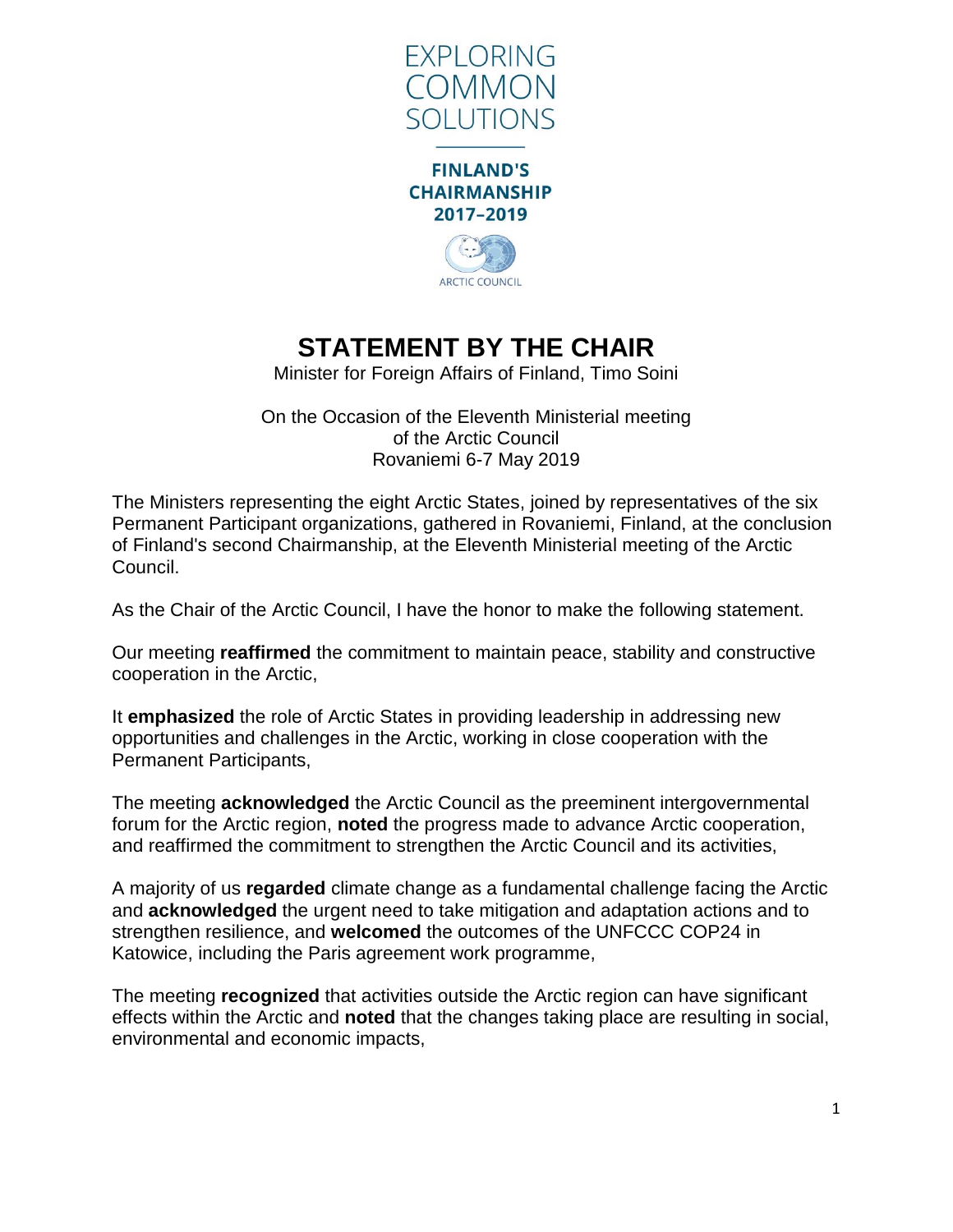



# **STATEMENT BY THE CHAIR**

Minister for Foreign Affairs of Finland, Timo Soini

On the Occasion of the Eleventh Ministerial meeting of the Arctic Council Rovaniemi 6-7 May 2019

The Ministers representing the eight Arctic States, joined by representatives of the six Permanent Participant organizations, gathered in Rovaniemi, Finland, at the conclusion of Finland's second Chairmanship, at the Eleventh Ministerial meeting of the Arctic Council.

As the Chair of the Arctic Council, I have the honor to make the following statement.

Our meeting **reaffirmed** the commitment to maintain peace, stability and constructive cooperation in the Arctic,

It **emphasized** the role of Arctic States in providing leadership in addressing new opportunities and challenges in the Arctic, working in close cooperation with the Permanent Participants,

The meeting **acknowledged** the Arctic Council as the preeminent intergovernmental forum for the Arctic region, **noted** the progress made to advance Arctic cooperation, and reaffirmed the commitment to strengthen the Arctic Council and its activities,

A majority of us **regarded** climate change as a fundamental challenge facing the Arctic and **acknowledged** the urgent need to take mitigation and adaptation actions and to strengthen resilience, and **welcomed** the outcomes of the UNFCCC COP24 in Katowice, including the Paris agreement work programme,

The meeting **recognized** that activities outside the Arctic region can have significant effects within the Arctic and **noted** that the changes taking place are resulting in social, environmental and economic impacts,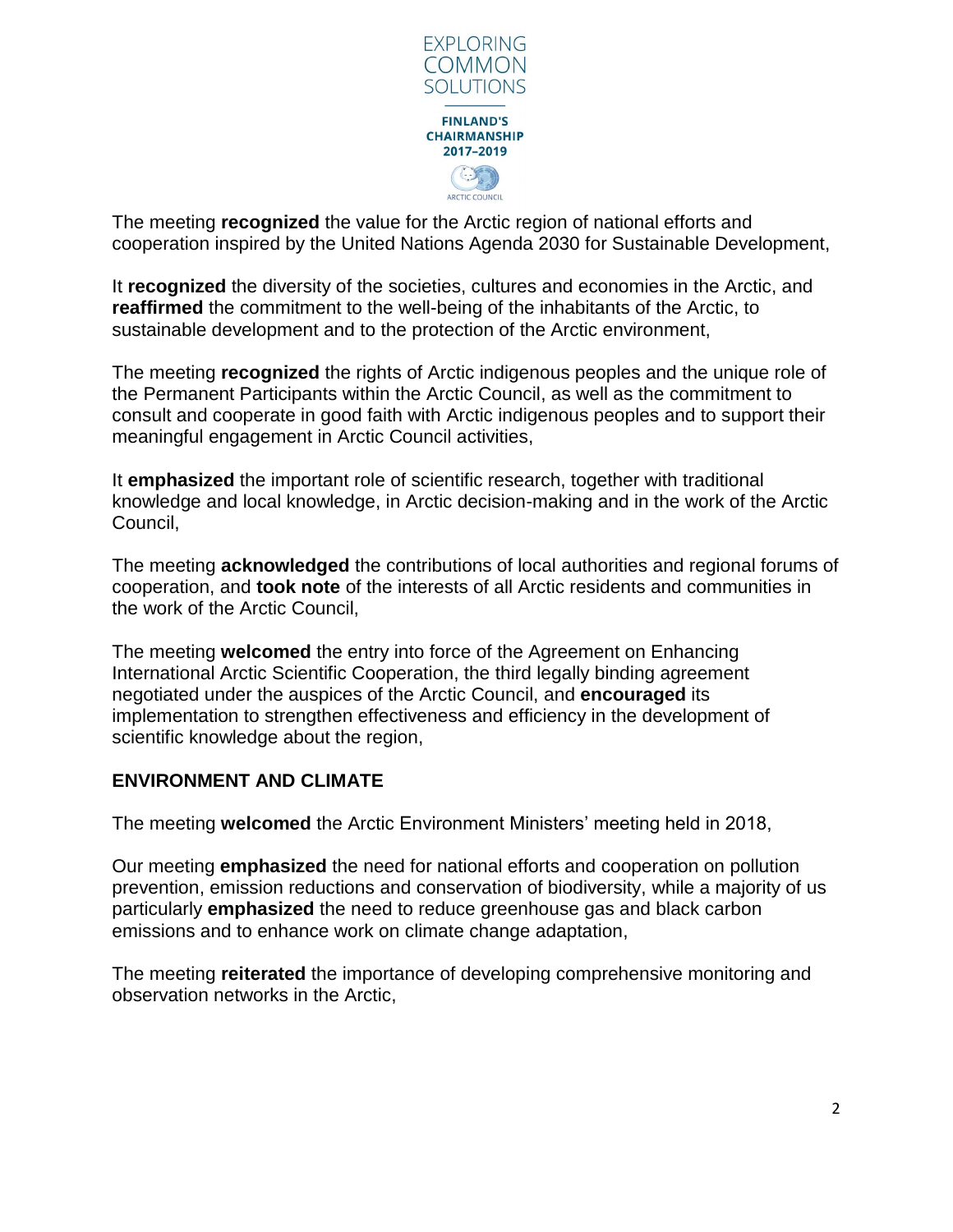

The meeting **recognized** the value for the Arctic region of national efforts and cooperation inspired by the United Nations Agenda 2030 for Sustainable Development,

It **recognized** the diversity of the societies, cultures and economies in the Arctic, and **reaffirmed** the commitment to the well-being of the inhabitants of the Arctic, to sustainable development and to the protection of the Arctic environment,

The meeting **recognized** the rights of Arctic indigenous peoples and the unique role of the Permanent Participants within the Arctic Council, as well as the commitment to consult and cooperate in good faith with Arctic indigenous peoples and to support their meaningful engagement in Arctic Council activities,

It **emphasized** the important role of scientific research, together with traditional knowledge and local knowledge, in Arctic decision-making and in the work of the Arctic Council,

The meeting **acknowledged** the contributions of local authorities and regional forums of cooperation, and **took note** of the interests of all Arctic residents and communities in the work of the Arctic Council,

The meeting **welcomed** the entry into force of the Agreement on Enhancing International Arctic Scientific Cooperation, the third legally binding agreement negotiated under the auspices of the Arctic Council, and **encouraged** its implementation to strengthen effectiveness and efficiency in the development of scientific knowledge about the region,

#### **ENVIRONMENT AND CLIMATE**

The meeting **welcomed** the Arctic Environment Ministers' meeting held in 2018,

Our meeting **emphasized** the need for national efforts and cooperation on pollution prevention, emission reductions and conservation of biodiversity, while a majority of us particularly **emphasized** the need to reduce greenhouse gas and black carbon emissions and to enhance work on climate change adaptation,

The meeting **reiterated** the importance of developing comprehensive monitoring and observation networks in the Arctic,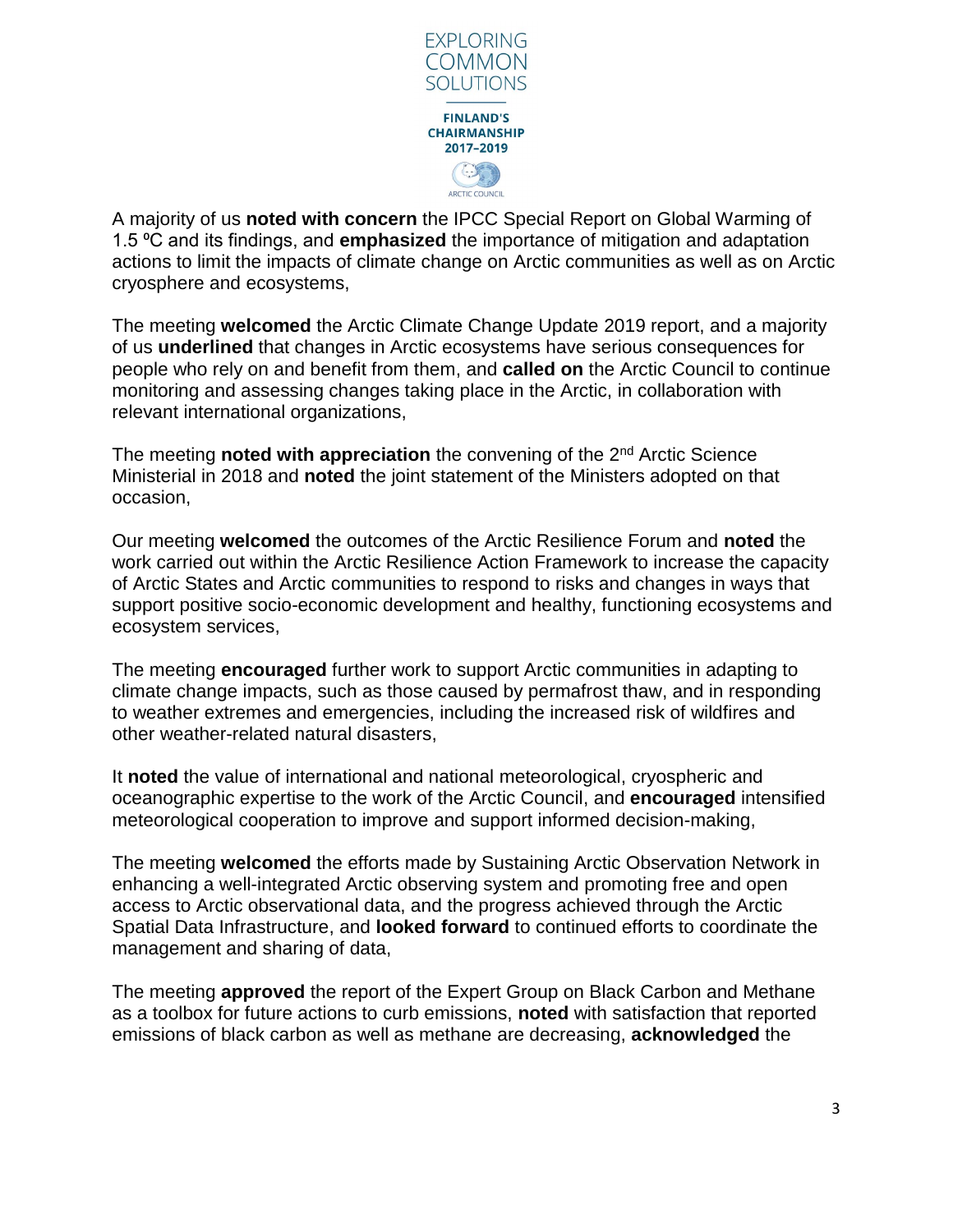

A majority of us **noted with concern** the IPCC Special Report on Global Warming of 1.5 ⁰C and its findings, and **emphasized** the importance of mitigation and adaptation actions to limit the impacts of climate change on Arctic communities as well as on Arctic cryosphere and ecosystems,

The meeting **welcomed** the Arctic Climate Change Update 2019 report, and a majority of us **underlined** that changes in Arctic ecosystems have serious consequences for people who rely on and benefit from them, and **called on** the Arctic Council to continue monitoring and assessing changes taking place in the Arctic, in collaboration with relevant international organizations,

The meeting **noted with appreciation** the convening of the 2nd Arctic Science Ministerial in 2018 and **noted** the joint statement of the Ministers adopted on that occasion,

Our meeting **welcomed** the outcomes of the Arctic Resilience Forum and **noted** the work carried out within the Arctic Resilience Action Framework to increase the capacity of Arctic States and Arctic communities to respond to risks and changes in ways that support positive socio-economic development and healthy, functioning ecosystems and ecosystem services,

The meeting **encouraged** further work to support Arctic communities in adapting to climate change impacts, such as those caused by permafrost thaw, and in responding to weather extremes and emergencies, including the increased risk of wildfires and other weather-related natural disasters,

It **noted** the value of international and national meteorological, cryospheric and oceanographic expertise to the work of the Arctic Council, and **encouraged** intensified meteorological cooperation to improve and support informed decision-making,

The meeting **welcomed** the efforts made by Sustaining Arctic Observation Network in enhancing a well-integrated Arctic observing system and promoting free and open access to Arctic observational data, and the progress achieved through the Arctic Spatial Data Infrastructure, and **looked forward** to continued efforts to coordinate the management and sharing of data,

The meeting **approved** the report of the Expert Group on Black Carbon and Methane as a toolbox for future actions to curb emissions, **noted** with satisfaction that reported emissions of black carbon as well as methane are decreasing, **acknowledged** the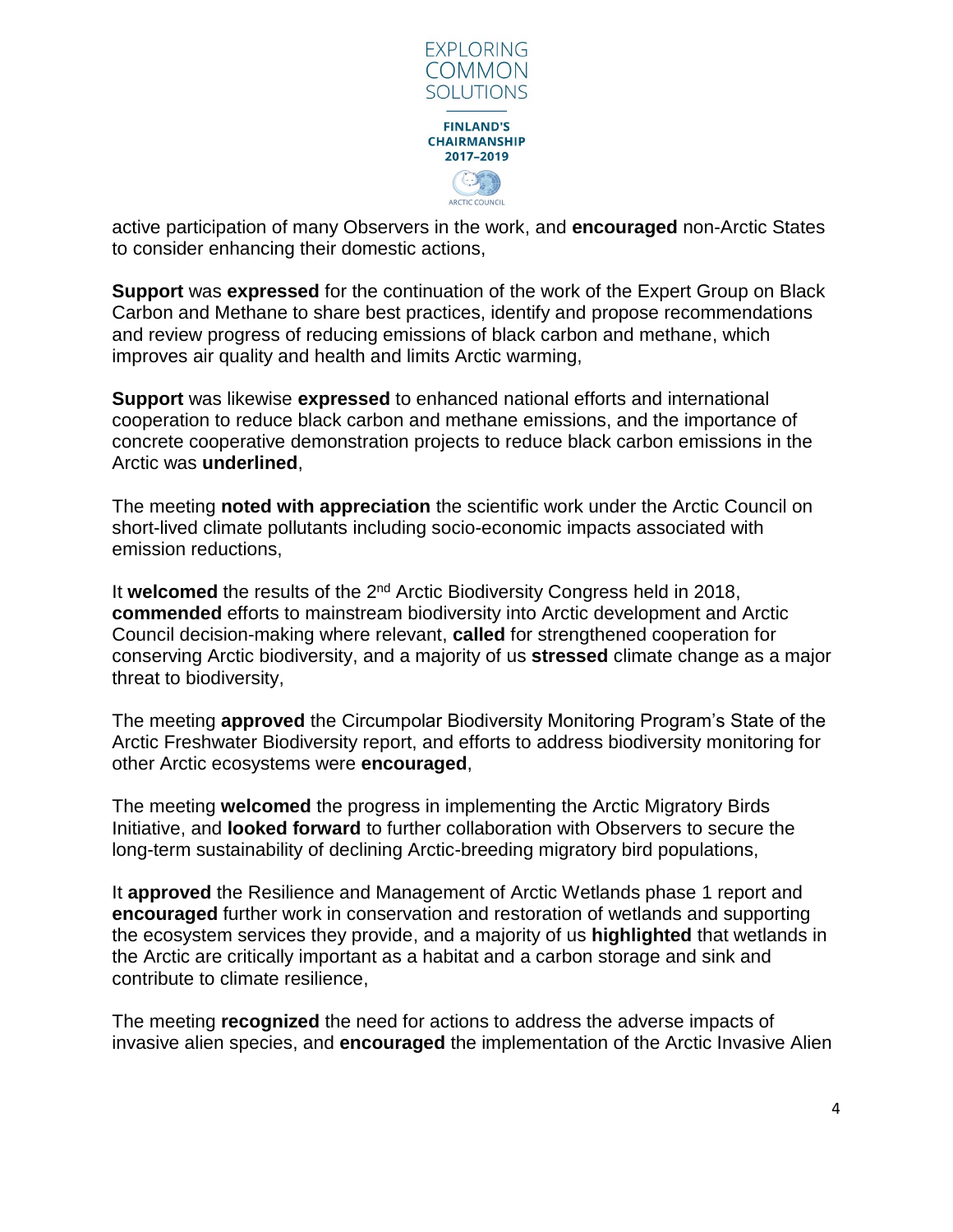

active participation of many Observers in the work, and **encouraged** non-Arctic States to consider enhancing their domestic actions,

**Support** was **expressed** for the continuation of the work of the Expert Group on Black Carbon and Methane to share best practices, identify and propose recommendations and review progress of reducing emissions of black carbon and methane, which improves air quality and health and limits Arctic warming,

**Support** was likewise **expressed** to enhanced national efforts and international cooperation to reduce black carbon and methane emissions, and the importance of concrete cooperative demonstration projects to reduce black carbon emissions in the Arctic was **underlined**,

The meeting **noted with appreciation** the scientific work under the Arctic Council on short-lived climate pollutants including socio-economic impacts associated with emission reductions,

It welcomed the results of the 2<sup>nd</sup> Arctic Biodiversity Congress held in 2018, **commended** efforts to mainstream biodiversity into Arctic development and Arctic Council decision-making where relevant, **called** for strengthened cooperation for conserving Arctic biodiversity, and a majority of us **stressed** climate change as a major threat to biodiversity,

The meeting **approved** the Circumpolar Biodiversity Monitoring Program's State of the Arctic Freshwater Biodiversity report, and efforts to address biodiversity monitoring for other Arctic ecosystems were **encouraged**,

The meeting **welcomed** the progress in implementing the Arctic Migratory Birds Initiative, and **looked forward** to further collaboration with Observers to secure the long-term sustainability of declining Arctic-breeding migratory bird populations,

It **approved** the Resilience and Management of Arctic Wetlands phase 1 report and **encouraged** further work in conservation and restoration of wetlands and supporting the ecosystem services they provide, and a majority of us **highlighted** that wetlands in the Arctic are critically important as a habitat and a carbon storage and sink and contribute to climate resilience,

The meeting **recognized** the need for actions to address the adverse impacts of invasive alien species, and **encouraged** the implementation of the Arctic Invasive Alien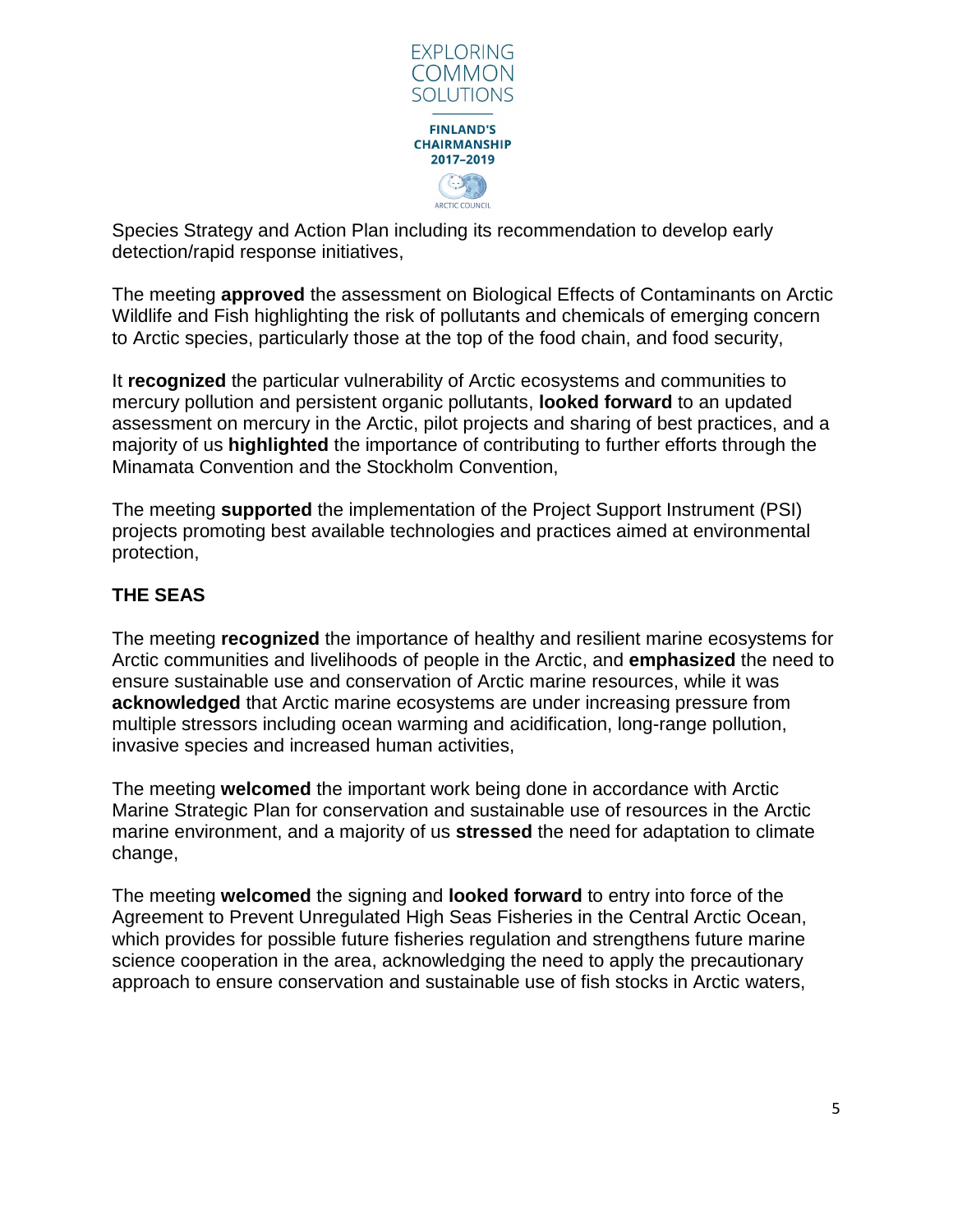

Species Strategy and Action Plan including its recommendation to develop early detection/rapid response initiatives,

The meeting **approved** the assessment on Biological Effects of Contaminants on Arctic Wildlife and Fish highlighting the risk of pollutants and chemicals of emerging concern to Arctic species, particularly those at the top of the food chain, and food security,

It **recognized** the particular vulnerability of Arctic ecosystems and communities to mercury pollution and persistent organic pollutants, **looked forward** to an updated assessment on mercury in the Arctic, pilot projects and sharing of best practices, and a majority of us **highlighted** the importance of contributing to further efforts through the Minamata Convention and the Stockholm Convention,

The meeting **supported** the implementation of the Project Support Instrument (PSI) projects promoting best available technologies and practices aimed at environmental protection,

### **THE SEAS**

The meeting **recognized** the importance of healthy and resilient marine ecosystems for Arctic communities and livelihoods of people in the Arctic, and **emphasized** the need to ensure sustainable use and conservation of Arctic marine resources, while it was **acknowledged** that Arctic marine ecosystems are under increasing pressure from multiple stressors including ocean warming and acidification, long-range pollution, invasive species and increased human activities,

The meeting **welcomed** the important work being done in accordance with Arctic Marine Strategic Plan for conservation and sustainable use of resources in the Arctic marine environment, and a majority of us **stressed** the need for adaptation to climate change,

The meeting **welcomed** the signing and **looked forward** to entry into force of the Agreement to Prevent Unregulated High Seas Fisheries in the Central Arctic Ocean, which provides for possible future fisheries regulation and strengthens future marine science cooperation in the area, acknowledging the need to apply the precautionary approach to ensure conservation and sustainable use of fish stocks in Arctic waters,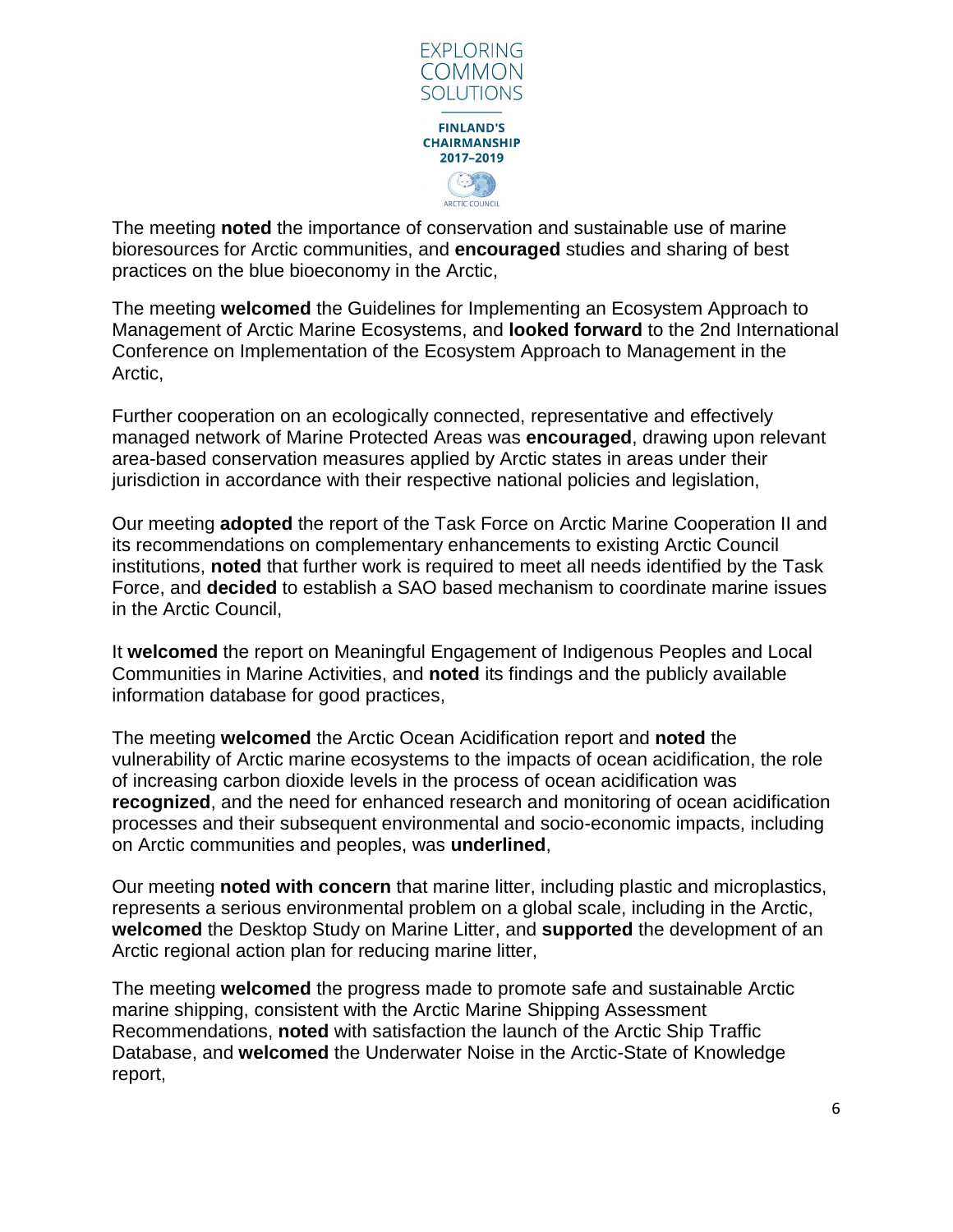

The meeting **noted** the importance of conservation and sustainable use of marine bioresources for Arctic communities, and **encouraged** studies and sharing of best practices on the blue bioeconomy in the Arctic,

The meeting **welcomed** the Guidelines for Implementing an Ecosystem Approach to Management of Arctic Marine Ecosystems, and **looked forward** to the 2nd International Conference on Implementation of the Ecosystem Approach to Management in the Arctic,

Further cooperation on an ecologically connected, representative and effectively managed network of Marine Protected Areas was **encouraged**, drawing upon relevant area-based conservation measures applied by Arctic states in areas under their jurisdiction in accordance with their respective national policies and legislation,

Our meeting **adopted** the report of the Task Force on Arctic Marine Cooperation II and its recommendations on complementary enhancements to existing Arctic Council institutions, **noted** that further work is required to meet all needs identified by the Task Force, and **decided** to establish a SAO based mechanism to coordinate marine issues in the Arctic Council,

It **welcomed** the report on Meaningful Engagement of Indigenous Peoples and Local Communities in Marine Activities, and **noted** its findings and the publicly available information database for good practices,

The meeting **welcomed** the Arctic Ocean Acidification report and **noted** the vulnerability of Arctic marine ecosystems to the impacts of ocean acidification, the role of increasing carbon dioxide levels in the process of ocean acidification was **recognized**, and the need for enhanced research and monitoring of ocean acidification processes and their subsequent environmental and socio-economic impacts, including on Arctic communities and peoples, was **underlined**,

Our meeting **noted with concern** that marine litter, including plastic and microplastics, represents a serious environmental problem on a global scale, including in the Arctic, **welcomed** the Desktop Study on Marine Litter, and **supported** the development of an Arctic regional action plan for reducing marine litter,

The meeting **welcomed** the progress made to promote safe and sustainable Arctic marine shipping, consistent with the Arctic Marine Shipping Assessment Recommendations, **noted** with satisfaction the launch of the Arctic Ship Traffic Database, and **welcomed** the Underwater Noise in the Arctic-State of Knowledge report,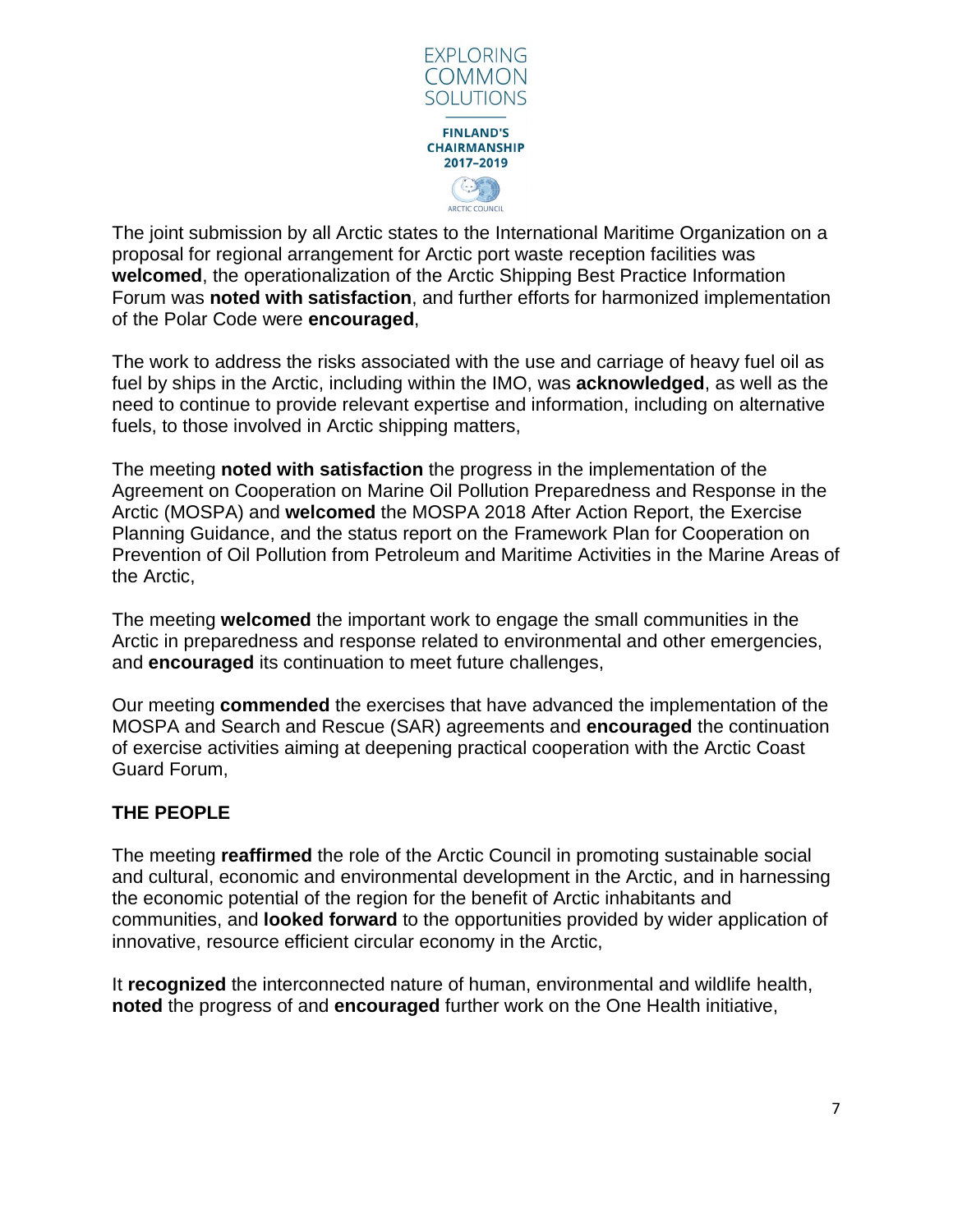

The joint submission by all Arctic states to the International Maritime Organization on a proposal for regional arrangement for Arctic port waste reception facilities was **welcomed**, the operationalization of the Arctic Shipping Best Practice Information Forum was **noted with satisfaction**, and further efforts for harmonized implementation of the Polar Code were **encouraged**,

The work to address the risks associated with the use and carriage of heavy fuel oil as fuel by ships in the Arctic, including within the IMO, was **acknowledged**, as well as the need to continue to provide relevant expertise and information, including on alternative fuels, to those involved in Arctic shipping matters,

The meeting **noted with satisfaction** the progress in the implementation of the Agreement on Cooperation on Marine Oil Pollution Preparedness and Response in the Arctic (MOSPA) and **welcomed** the MOSPA 2018 After Action Report, the Exercise Planning Guidance, and the status report on the Framework Plan for Cooperation on Prevention of Oil Pollution from Petroleum and Maritime Activities in the Marine Areas of the Arctic,

The meeting **welcomed** the important work to engage the small communities in the Arctic in preparedness and response related to environmental and other emergencies, and **encouraged** its continuation to meet future challenges,

Our meeting **commended** the exercises that have advanced the implementation of the MOSPA and Search and Rescue (SAR) agreements and **encouraged** the continuation of exercise activities aiming at deepening practical cooperation with the Arctic Coast Guard Forum,

## **THE PEOPLE**

The meeting **reaffirmed** the role of the Arctic Council in promoting sustainable social and cultural, economic and environmental development in the Arctic, and in harnessing the economic potential of the region for the benefit of Arctic inhabitants and communities, and **looked forward** to the opportunities provided by wider application of innovative, resource efficient circular economy in the Arctic,

It **recognized** the interconnected nature of human, environmental and wildlife health, **noted** the progress of and **encouraged** further work on the One Health initiative,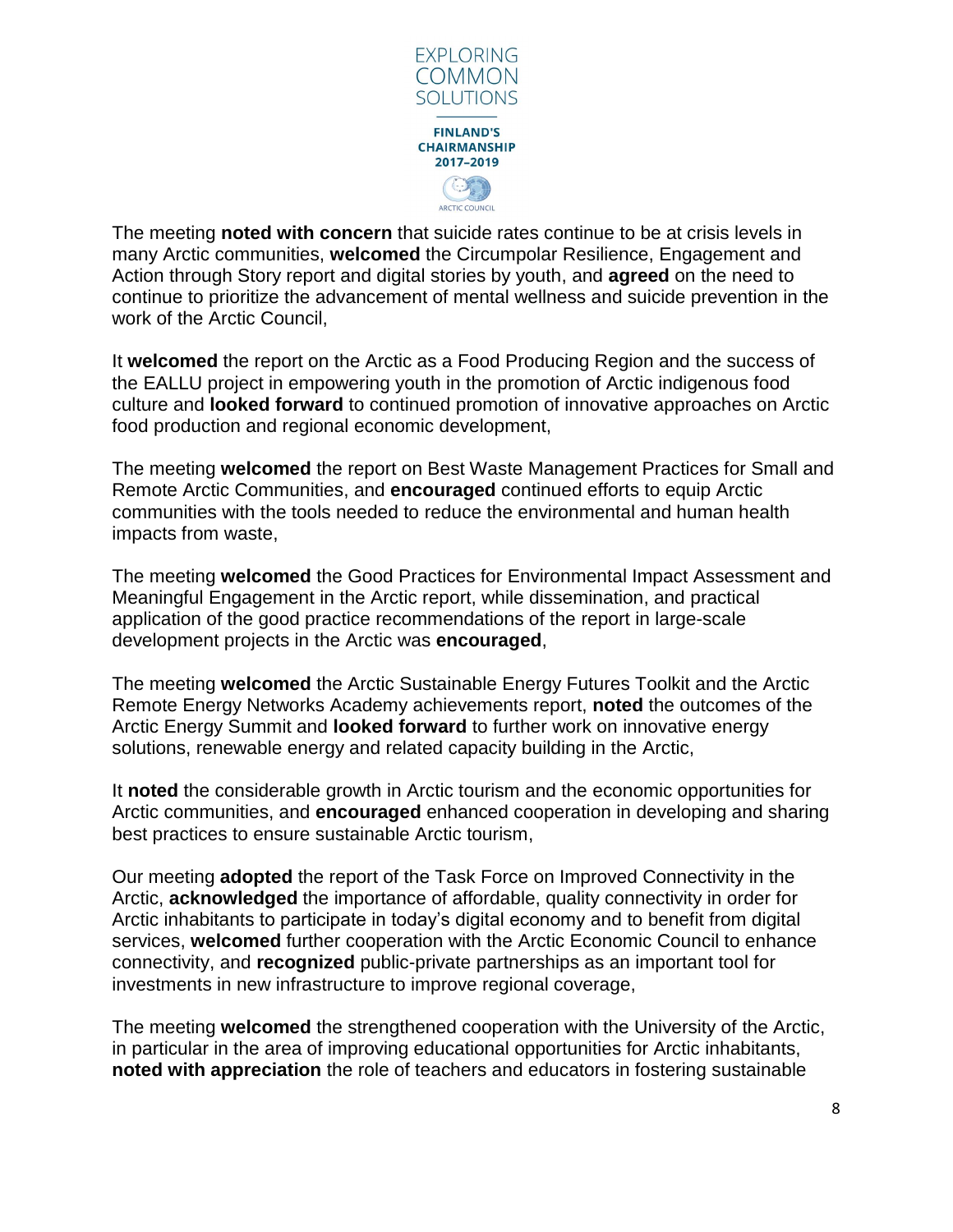

The meeting **noted with concern** that suicide rates continue to be at crisis levels in many Arctic communities, **welcomed** the Circumpolar Resilience, Engagement and Action through Story report and digital stories by youth, and **agreed** on the need to continue to prioritize the advancement of mental wellness and suicide prevention in the work of the Arctic Council,

It **welcomed** the report on the Arctic as a Food Producing Region and the success of the EALLU project in empowering youth in the promotion of Arctic indigenous food culture and **looked forward** to continued promotion of innovative approaches on Arctic food production and regional economic development,

The meeting **welcomed** the report on Best Waste Management Practices for Small and Remote Arctic Communities, and **encouraged** continued efforts to equip Arctic communities with the tools needed to reduce the environmental and human health impacts from waste,

The meeting **welcomed** the Good Practices for Environmental Impact Assessment and Meaningful Engagement in the Arctic report, while dissemination, and practical application of the good practice recommendations of the report in large-scale development projects in the Arctic was **encouraged**,

The meeting **welcomed** the Arctic Sustainable Energy Futures Toolkit and the Arctic Remote Energy Networks Academy achievements report, **noted** the outcomes of the Arctic Energy Summit and **looked forward** to further work on innovative energy solutions, renewable energy and related capacity building in the Arctic,

It **noted** the considerable growth in Arctic tourism and the economic opportunities for Arctic communities, and **encouraged** enhanced cooperation in developing and sharing best practices to ensure sustainable Arctic tourism,

Our meeting **adopted** the report of the Task Force on Improved Connectivity in the Arctic, **acknowledged** the importance of affordable, quality connectivity in order for Arctic inhabitants to participate in today's digital economy and to benefit from digital services, **welcomed** further cooperation with the Arctic Economic Council to enhance connectivity, and **recognized** public-private partnerships as an important tool for investments in new infrastructure to improve regional coverage,

The meeting **welcomed** the strengthened cooperation with the University of the Arctic, in particular in the area of improving educational opportunities for Arctic inhabitants, **noted with appreciation** the role of teachers and educators in fostering sustainable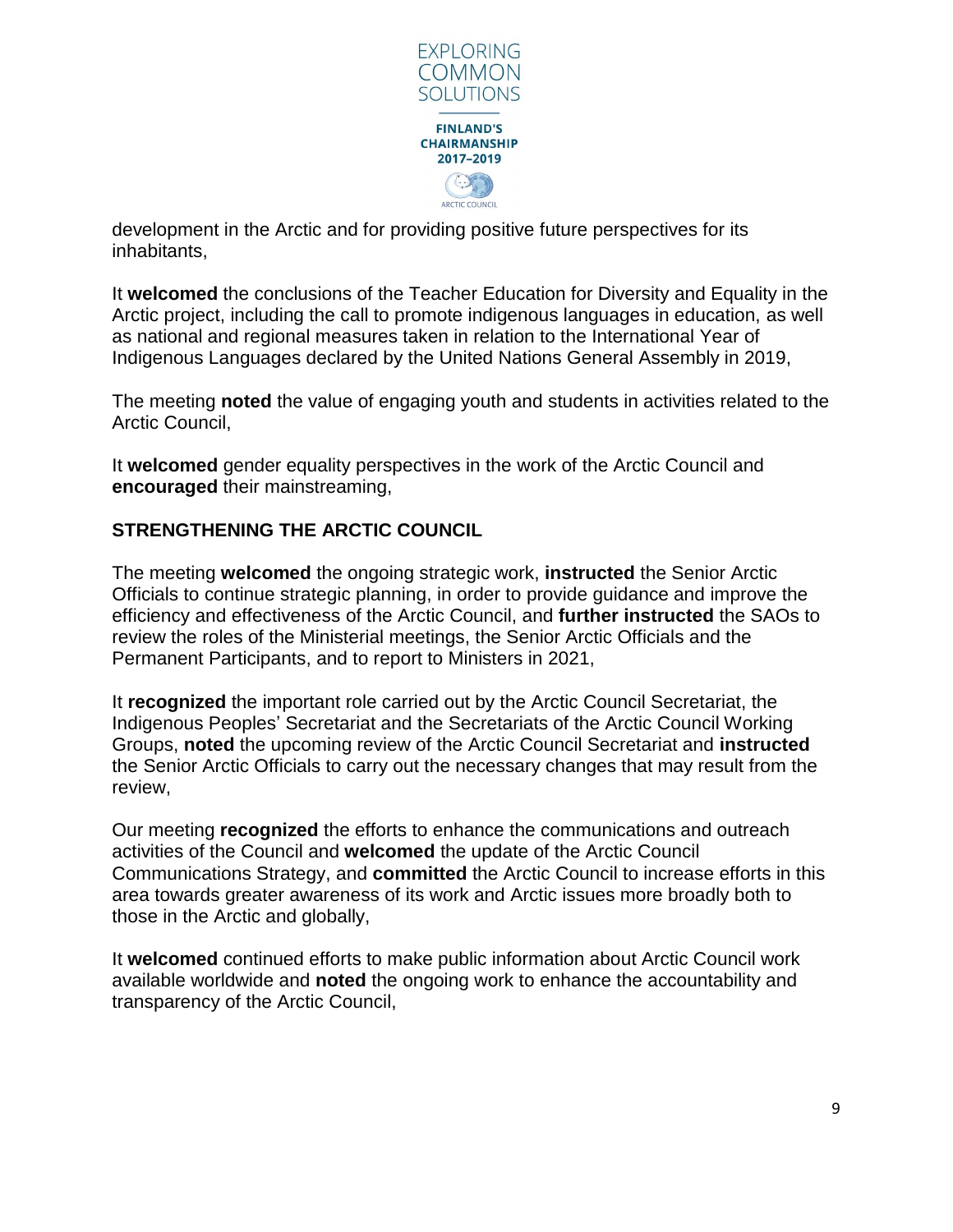

development in the Arctic and for providing positive future perspectives for its inhabitants,

It **welcomed** the conclusions of the Teacher Education for Diversity and Equality in the Arctic project, including the call to promote indigenous languages in education, as well as national and regional measures taken in relation to the International Year of Indigenous Languages declared by the United Nations General Assembly in 2019,

The meeting **noted** the value of engaging youth and students in activities related to the Arctic Council,

It **welcomed** gender equality perspectives in the work of the Arctic Council and **encouraged** their mainstreaming,

#### **STRENGTHENING THE ARCTIC COUNCIL**

The meeting **welcomed** the ongoing strategic work, **instructed** the Senior Arctic Officials to continue strategic planning, in order to provide guidance and improve the efficiency and effectiveness of the Arctic Council, and **further instructed** the SAOs to review the roles of the Ministerial meetings, the Senior Arctic Officials and the Permanent Participants, and to report to Ministers in 2021,

It **recognized** the important role carried out by the Arctic Council Secretariat, the Indigenous Peoples' Secretariat and the Secretariats of the Arctic Council Working Groups, **noted** the upcoming review of the Arctic Council Secretariat and **instructed** the Senior Arctic Officials to carry out the necessary changes that may result from the review,

Our meeting **recognized** the efforts to enhance the communications and outreach activities of the Council and **welcomed** the update of the Arctic Council Communications Strategy, and **committed** the Arctic Council to increase efforts in this area towards greater awareness of its work and Arctic issues more broadly both to those in the Arctic and globally,

It **welcomed** continued efforts to make public information about Arctic Council work available worldwide and **noted** the ongoing work to enhance the accountability and transparency of the Arctic Council,